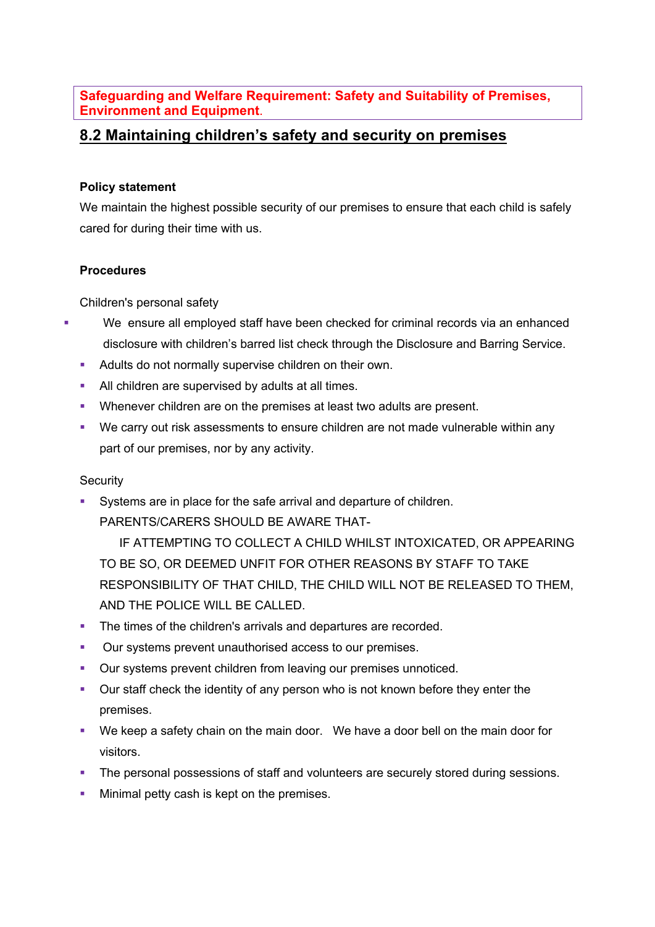**Safeguarding and Welfare Requirement: Safety and Suitability of Premises, Environment and Equipment**.

## **8.2 Maintaining children's safety and security on premises**

## **Policy statement**

We maintain the highest possible security of our premises to ensure that each child is safely cared for during their time with us.

## **Procedures**

Children's personal safety

- We ensure all employed staff have been checked for criminal records via an enhanced disclosure with children's barred list check through the Disclosure and Barring Service.
	- **Adults do not normally supervise children on their own.**
	- **All children are supervised by adults at all times.**
	- § Whenever children are on the premises at least two adults are present.
	- We carry out risk assessments to ensure children are not made vulnerable within any part of our premises, nor by any activity.

## **Security**

§ Systems are in place for the safe arrival and departure of children. PARENTS/CARERS SHOULD BE AWARE THAT-

IF ATTEMPTING TO COLLECT A CHILD WHILST INTOXICATED, OR APPEARING TO BE SO, OR DEEMED UNFIT FOR OTHER REASONS BY STAFF TO TAKE RESPONSIBILITY OF THAT CHILD, THE CHILD WILL NOT BE RELEASED TO THEM, AND THE POLICE WILL BE CALLED.

- The times of the children's arrivals and departures are recorded.
- Our systems prevent unauthorised access to our premises.
- Our systems prevent children from leaving our premises unnoticed.
- Our staff check the identity of any person who is not known before they enter the premises.
- § We keep a safety chain on the main door. We have a door bell on the main door for visitors.
- The personal possessions of staff and volunteers are securely stored during sessions.
- Minimal petty cash is kept on the premises.